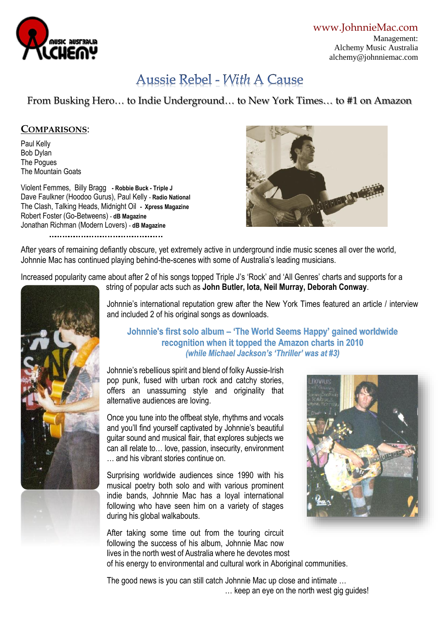

[www.JohnnieMac.com](http://www.johnniemac.com/) Management: Alchemy Music Australia alchemy@johnniemac.com

# Aussie Rebel - With A Cause

From Busking Hero… to Indie Underground… to New York Times… to #1 on Amazon

## **COMPARISONS**:

Paul Kelly Bob Dylan The Pogues The Mountain Goats

Violent Femmes, Billy Bragg **- Robbie Buck - Triple J** Dave Faulkner (Hoodoo Gurus), Paul Kelly - **Radio National** The Clash, Talking Heads, Midnight Oil **- Xpress Magazine** Robert Foster (Go-Betweens) - **dB Magazine** Jonathan Richman (Modern Lovers) - **dB Magazine** 



After years of remaining defiantly obscure, yet extremely active in underground indie music scenes all over the world, Johnnie Mac has continued playing behind-the-scenes with some of Australia's leading musicians.

Increased popularity came about after 2 of his songs topped Triple J's 'Rock' and 'All Genres' charts and supports for a



string of popular acts such as **John Butler, Iota, Neil Murray, Deborah Conway**.

Johnnie's international reputation grew after the New York Times featured an article / interview and included 2 of his original songs as downloads.

## **Johnnie's first solo album – 'The World Seems Happy' gained worldwide recognition when it topped the Amazon charts in 2010** *(while Michael Jackson's 'Thriller' was at #3)*

Johnnie's rebellious spirit and blend of folky Aussie-Irish pop punk, fused with urban rock and catchy stories, offers an unassuming style and originality that alternative audiences are loving.

Once you tune into the offbeat style, rhythms and vocals and you'll find yourself captivated by Johnnie's beautiful guitar sound and musical flair, that explores subjects we can all relate to… love, passion, insecurity, environment … and his vibrant stories continue on.

Surprising worldwide audiences since 1990 with his musical poetry both solo and with various prominent indie bands, Johnnie Mac has a loyal international following who have seen him on a variety of stages during his global walkabouts.

After taking some time out from the touring circuit following the success of his album, Johnnie Mac now lives in the north west of Australia where he devotes most of his energy to environmental and cultural work in Aboriginal communities.



The good news is you can still catch Johnnie Mac up close and intimate … … keep an eye on the north west gig guides!